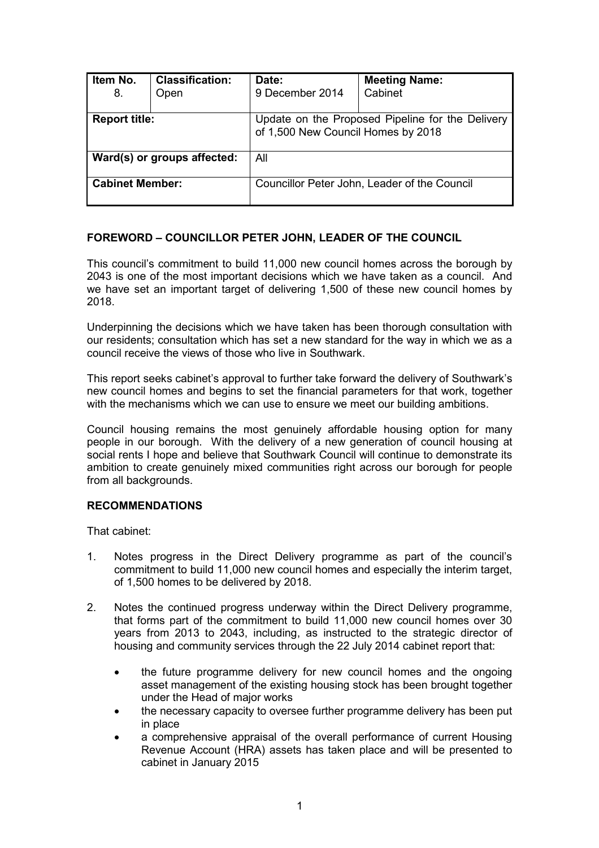| Item No.<br>8.              | <b>Classification:</b><br>Open | Date:<br>9 December 2014                                                               | <b>Meeting Name:</b><br>Cabinet |  |
|-----------------------------|--------------------------------|----------------------------------------------------------------------------------------|---------------------------------|--|
| <b>Report title:</b>        |                                | Update on the Proposed Pipeline for the Delivery<br>of 1,500 New Council Homes by 2018 |                                 |  |
| Ward(s) or groups affected: |                                | All                                                                                    |                                 |  |
| <b>Cabinet Member:</b>      |                                | Councillor Peter John, Leader of the Council                                           |                                 |  |

# **FOREWORD – COUNCILLOR PETER JOHN, LEADER OF THE COUNCIL**

This council's commitment to build 11,000 new council homes across the borough by 2043 is one of the most important decisions which we have taken as a council. And we have set an important target of delivering 1,500 of these new council homes by 2018.

Underpinning the decisions which we have taken has been thorough consultation with our residents; consultation which has set a new standard for the way in which we as a council receive the views of those who live in Southwark.

This report seeks cabinet's approval to further take forward the delivery of Southwark's new council homes and begins to set the financial parameters for that work, together with the mechanisms which we can use to ensure we meet our building ambitions.

Council housing remains the most genuinely affordable housing option for many people in our borough. With the delivery of a new generation of council housing at social rents I hope and believe that Southwark Council will continue to demonstrate its ambition to create genuinely mixed communities right across our borough for people from all backgrounds.

### **RECOMMENDATIONS**

That cabinet:

- 1. Notes progress in the Direct Delivery programme as part of the council's commitment to build 11,000 new council homes and especially the interim target, of 1,500 homes to be delivered by 2018.
- 2. Notes the continued progress underway within the Direct Delivery programme, that forms part of the commitment to build 11,000 new council homes over 30 years from 2013 to 2043, including, as instructed to the strategic director of housing and community services through the 22 July 2014 cabinet report that:
	- the future programme delivery for new council homes and the ongoing asset management of the existing housing stock has been brought together under the Head of major works
	- the necessary capacity to oversee further programme delivery has been put in place
	- a comprehensive appraisal of the overall performance of current Housing Revenue Account (HRA) assets has taken place and will be presented to cabinet in January 2015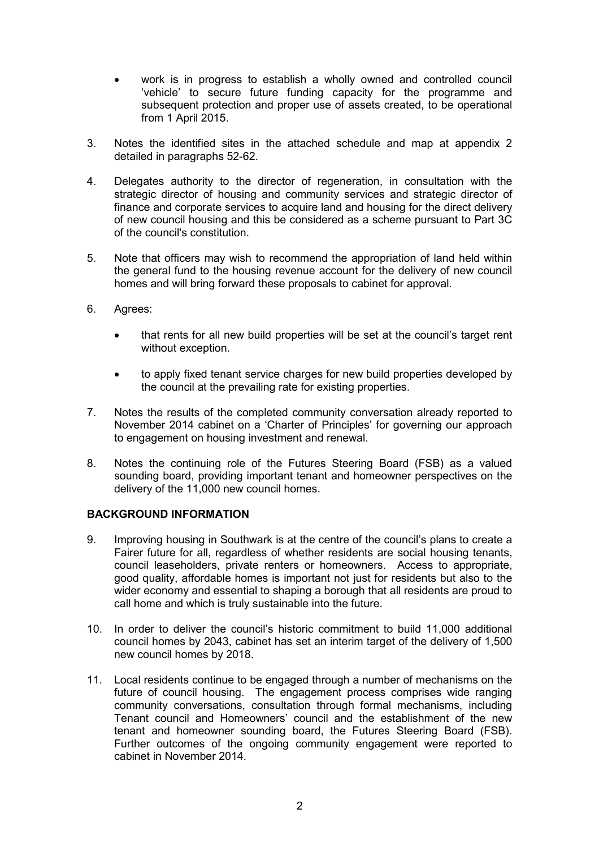- work is in progress to establish a wholly owned and controlled council 'vehicle' to secure future funding capacity for the programme and subsequent protection and proper use of assets created, to be operational from 1 April 2015.
- 3. Notes the identified sites in the attached schedule and map at appendix 2 detailed in paragraphs 52-62.
- 4. Delegates authority to the director of regeneration, in consultation with the strategic director of housing and community services and strategic director of finance and corporate services to acquire land and housing for the direct delivery of new council housing and this be considered as a scheme pursuant to Part 3C of the council's constitution.
- 5. Note that officers may wish to recommend the appropriation of land held within the general fund to the housing revenue account for the delivery of new council homes and will bring forward these proposals to cabinet for approval.
- 6. Agrees:
	- that rents for all new build properties will be set at the council's target rent without exception.
	- to apply fixed tenant service charges for new build properties developed by the council at the prevailing rate for existing properties.
- 7. Notes the results of the completed community conversation already reported to November 2014 cabinet on a 'Charter of Principles' for governing our approach to engagement on housing investment and renewal.
- 8. Notes the continuing role of the Futures Steering Board (FSB) as a valued sounding board, providing important tenant and homeowner perspectives on the delivery of the 11,000 new council homes.

### **BACKGROUND INFORMATION**

- 9. Improving housing in Southwark is at the centre of the council's plans to create a Fairer future for all, regardless of whether residents are social housing tenants, council leaseholders, private renters or homeowners. Access to appropriate, good quality, affordable homes is important not just for residents but also to the wider economy and essential to shaping a borough that all residents are proud to call home and which is truly sustainable into the future.
- 10. In order to deliver the council's historic commitment to build 11,000 additional council homes by 2043, cabinet has set an interim target of the delivery of 1,500 new council homes by 2018.
- 11. Local residents continue to be engaged through a number of mechanisms on the future of council housing. The engagement process comprises wide ranging community conversations, consultation through formal mechanisms, including Tenant council and Homeowners' council and the establishment of the new tenant and homeowner sounding board, the Futures Steering Board (FSB). Further outcomes of the ongoing community engagement were reported to cabinet in November 2014.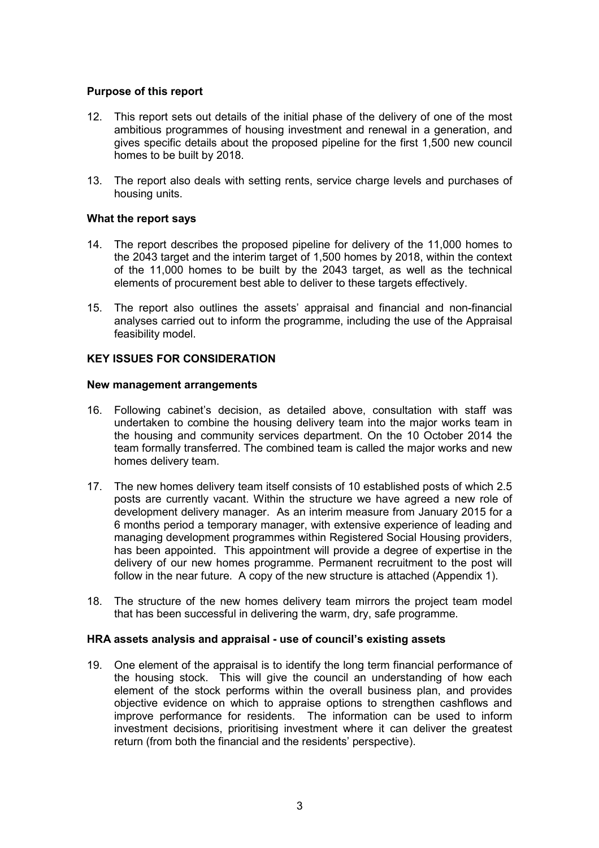### **Purpose of this report**

- 12. This report sets out details of the initial phase of the delivery of one of the most ambitious programmes of housing investment and renewal in a generation, and gives specific details about the proposed pipeline for the first 1,500 new council homes to be built by 2018.
- 13. The report also deals with setting rents, service charge levels and purchases of housing units.

### **What the report says**

- 14. The report describes the proposed pipeline for delivery of the 11,000 homes to the 2043 target and the interim target of 1,500 homes by 2018, within the context of the 11,000 homes to be built by the 2043 target, as well as the technical elements of procurement best able to deliver to these targets effectively.
- 15. The report also outlines the assets' appraisal and financial and non-financial analyses carried out to inform the programme, including the use of the Appraisal feasibility model.

### **KEY ISSUES FOR CONSIDERATION**

### **New management arrangements**

- 16. Following cabinet's decision, as detailed above, consultation with staff was undertaken to combine the housing delivery team into the major works team in the housing and community services department. On the 10 October 2014 the team formally transferred. The combined team is called the major works and new homes delivery team.
- 17. The new homes delivery team itself consists of 10 established posts of which 2.5 posts are currently vacant. Within the structure we have agreed a new role of development delivery manager. As an interim measure from January 2015 for a 6 months period a temporary manager, with extensive experience of leading and managing development programmes within Registered Social Housing providers, has been appointed. This appointment will provide a degree of expertise in the delivery of our new homes programme. Permanent recruitment to the post will follow in the near future. A copy of the new structure is attached (Appendix 1).
- 18. The structure of the new homes delivery team mirrors the project team model that has been successful in delivering the warm, dry, safe programme.

#### **HRA assets analysis and appraisal - use of council's existing assets**

19. One element of the appraisal is to identify the long term financial performance of the housing stock. This will give the council an understanding of how each element of the stock performs within the overall business plan, and provides objective evidence on which to appraise options to strengthen cashflows and improve performance for residents. The information can be used to inform investment decisions, prioritising investment where it can deliver the greatest return (from both the financial and the residents' perspective).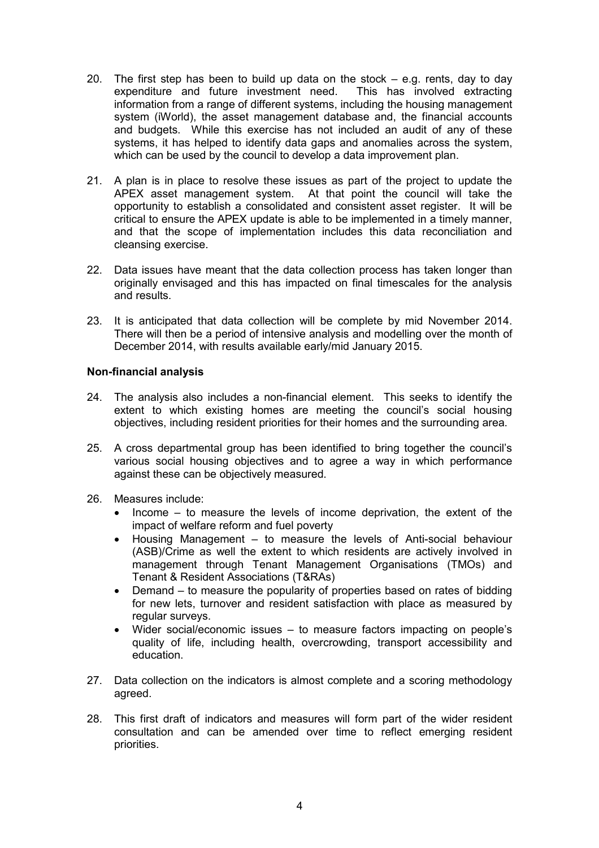- 20. The first step has been to build up data on the stock  $-$  e.g. rents, day to day expenditure and future investment need. This has involved extracting information from a range of different systems, including the housing management system (iWorld), the asset management database and, the financial accounts and budgets. While this exercise has not included an audit of any of these systems, it has helped to identify data gaps and anomalies across the system, which can be used by the council to develop a data improvement plan.
- 21. A plan is in place to resolve these issues as part of the project to update the APEX asset management system. At that point the council will take the opportunity to establish a consolidated and consistent asset register. It will be critical to ensure the APEX update is able to be implemented in a timely manner, and that the scope of implementation includes this data reconciliation and cleansing exercise.
- 22. Data issues have meant that the data collection process has taken longer than originally envisaged and this has impacted on final timescales for the analysis and results.
- 23. It is anticipated that data collection will be complete by mid November 2014. There will then be a period of intensive analysis and modelling over the month of December 2014, with results available early/mid January 2015.

## **Non-financial analysis**

- 24. The analysis also includes a non-financial element. This seeks to identify the extent to which existing homes are meeting the council's social housing objectives, including resident priorities for their homes and the surrounding area.
- 25. A cross departmental group has been identified to bring together the council's various social housing objectives and to agree a way in which performance against these can be objectively measured.
- 26. Measures include:
	- Income to measure the levels of income deprivation, the extent of the impact of welfare reform and fuel poverty
	- Housing Management to measure the levels of Anti-social behaviour (ASB)/Crime as well the extent to which residents are actively involved in management through Tenant Management Organisations (TMOs) and Tenant & Resident Associations (T&RAs)
	- Demand to measure the popularity of properties based on rates of bidding for new lets, turnover and resident satisfaction with place as measured by regular surveys.
	- Wider social/economic issues to measure factors impacting on people's quality of life, including health, overcrowding, transport accessibility and education.
- 27. Data collection on the indicators is almost complete and a scoring methodology agreed.
- 28. This first draft of indicators and measures will form part of the wider resident consultation and can be amended over time to reflect emerging resident priorities.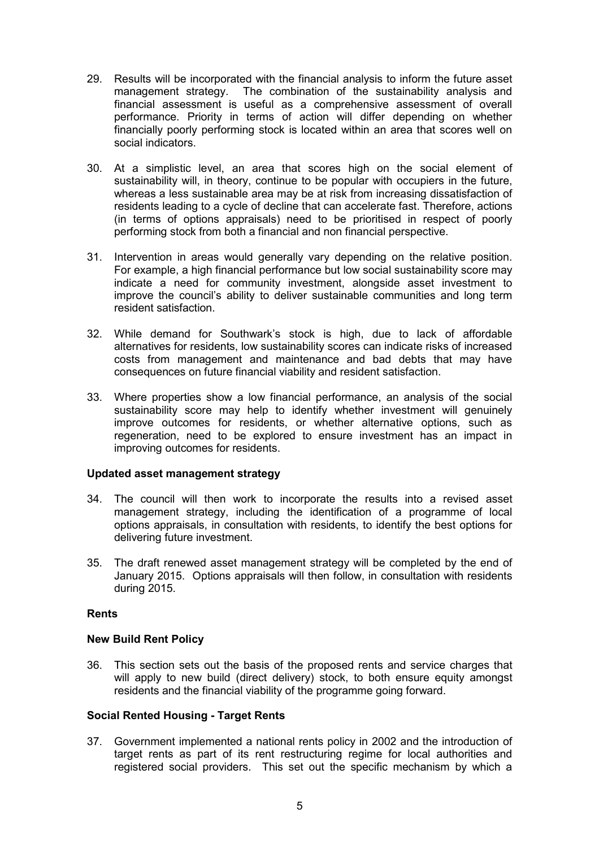- 29. Results will be incorporated with the financial analysis to inform the future asset management strategy. The combination of the sustainability analysis and financial assessment is useful as a comprehensive assessment of overall performance. Priority in terms of action will differ depending on whether financially poorly performing stock is located within an area that scores well on social indicators.
- 30. At a simplistic level, an area that scores high on the social element of sustainability will, in theory, continue to be popular with occupiers in the future, whereas a less sustainable area may be at risk from increasing dissatisfaction of residents leading to a cycle of decline that can accelerate fast. Therefore, actions (in terms of options appraisals) need to be prioritised in respect of poorly performing stock from both a financial and non financial perspective.
- 31. Intervention in areas would generally vary depending on the relative position. For example, a high financial performance but low social sustainability score may indicate a need for community investment, alongside asset investment to improve the council's ability to deliver sustainable communities and long term resident satisfaction.
- 32. While demand for Southwark's stock is high, due to lack of affordable alternatives for residents, low sustainability scores can indicate risks of increased costs from management and maintenance and bad debts that may have consequences on future financial viability and resident satisfaction.
- 33. Where properties show a low financial performance, an analysis of the social sustainability score may help to identify whether investment will genuinely improve outcomes for residents, or whether alternative options, such as regeneration, need to be explored to ensure investment has an impact in improving outcomes for residents.

### **Updated asset management strategy**

- 34. The council will then work to incorporate the results into a revised asset management strategy, including the identification of a programme of local options appraisals, in consultation with residents, to identify the best options for delivering future investment.
- 35. The draft renewed asset management strategy will be completed by the end of January 2015. Options appraisals will then follow, in consultation with residents during 2015.

### **Rents**

### **New Build Rent Policy**

36. This section sets out the basis of the proposed rents and service charges that will apply to new build (direct delivery) stock, to both ensure equity amongst residents and the financial viability of the programme going forward.

### **Social Rented Housing - Target Rents**

37. Government implemented a national rents policy in 2002 and the introduction of target rents as part of its rent restructuring regime for local authorities and registered social providers. This set out the specific mechanism by which a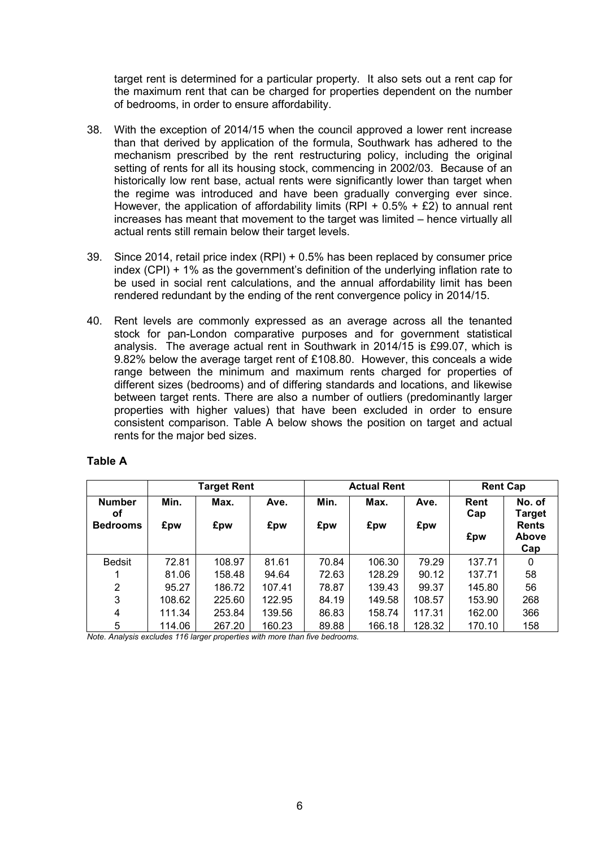target rent is determined for a particular property. It also sets out a rent cap for the maximum rent that can be charged for properties dependent on the number of bedrooms, in order to ensure affordability.

- 38. With the exception of 2014/15 when the council approved a lower rent increase than that derived by application of the formula, Southwark has adhered to the mechanism prescribed by the rent restructuring policy, including the original setting of rents for all its housing stock, commencing in 2002/03. Because of an historically low rent base, actual rents were significantly lower than target when the regime was introduced and have been gradually converging ever since. However, the application of affordability limits  $(RPI + 0.5\% + \text{\pounds}2)$  to annual rent increases has meant that movement to the target was limited – hence virtually all actual rents still remain below their target levels.
- 39. Since 2014, retail price index (RPI) + 0.5% has been replaced by consumer price index (CPI) + 1% as the government's definition of the underlying inflation rate to be used in social rent calculations, and the annual affordability limit has been rendered redundant by the ending of the rent convergence policy in 2014/15.
- 40. Rent levels are commonly expressed as an average across all the tenanted stock for pan-London comparative purposes and for government statistical analysis. The average actual rent in Southwark in 2014/15 is £99.07, which is 9.82% below the average target rent of £108.80. However, this conceals a wide range between the minimum and maximum rents charged for properties of different sizes (bedrooms) and of differing standards and locations, and likewise between target rents. There are also a number of outliers (predominantly larger properties with higher values) that have been excluded in order to ensure consistent comparison. Table A below shows the position on target and actual rents for the major bed sizes.

|                     |        | <b>Target Rent</b> |        |       | <b>Actual Rent</b> |        | <b>Rent Cap</b> |                                     |
|---------------------|--------|--------------------|--------|-------|--------------------|--------|-----------------|-------------------------------------|
| <b>Number</b><br>οf | Min.   | Max.               | Ave.   | Min.  | Max.               | Ave.   | Rent<br>Cap     | No. of<br><b>Target</b>             |
| <b>Bedrooms</b>     | £pw    | £pw                | £pw    | £pw   | £pw                | £pw    | £pw             | <b>Rents</b><br><b>Above</b><br>Cap |
| <b>Bedsit</b>       | 72.81  | 108.97             | 81.61  | 70.84 | 106.30             | 79.29  | 137.71          | 0                                   |
|                     | 81.06  | 158.48             | 94.64  | 72.63 | 128.29             | 90.12  | 137.71          | 58                                  |
| 2                   | 95.27  | 186.72             | 107.41 | 78.87 | 139.43             | 99.37  | 145.80          | 56                                  |
| 3                   | 108.62 | 225.60             | 122.95 | 84.19 | 149.58             | 108.57 | 153.90          | 268                                 |
| 4                   | 111.34 | 253.84             | 139.56 | 86.83 | 158.74             | 117.31 | 162.00          | 366                                 |
| 5                   | 114.06 | 267.20             | 160.23 | 89.88 | 166.18             | 128.32 | 170.10          | 158                                 |

#### **Table A**

*Note. Analysis excludes 116 larger properties with more than five bedrooms.*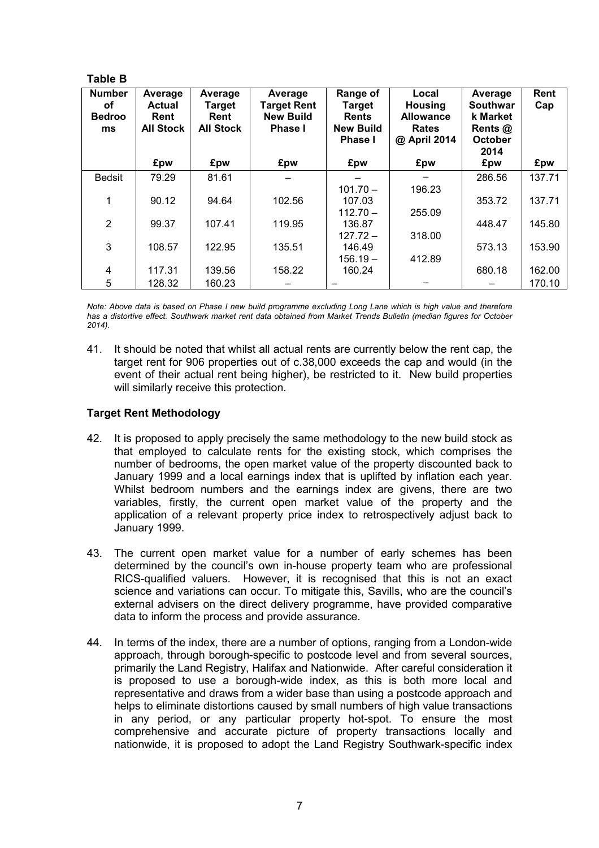## **Table B**

| <b>Number</b><br>οf<br><b>Bedroo</b><br>ms | Average<br><b>Actual</b><br>Rent<br><b>All Stock</b> | Average<br><b>Target</b><br>Rent<br><b>All Stock</b> | Average<br><b>Target Rent</b><br><b>New Build</b><br>Phase I | Range of<br><b>Target</b><br><b>Rents</b><br><b>New Build</b><br><b>Phase I</b> | Local<br>Housing<br><b>Allowance</b><br><b>Rates</b><br>@ April 2014 | Average<br><b>Southwar</b><br>k Market<br>Rents @<br><b>October</b><br>2014 | Rent<br>Cap |
|--------------------------------------------|------------------------------------------------------|------------------------------------------------------|--------------------------------------------------------------|---------------------------------------------------------------------------------|----------------------------------------------------------------------|-----------------------------------------------------------------------------|-------------|
|                                            | £pw                                                  | £pw                                                  | £pw                                                          | £pw                                                                             | £pw                                                                  | £pw                                                                         | £pw         |
| <b>Bedsit</b>                              | 79.29                                                | 81.61                                                |                                                              |                                                                                 |                                                                      | 286.56                                                                      | 137.71      |
|                                            |                                                      |                                                      |                                                              | $101.70 -$                                                                      | 196.23                                                               |                                                                             |             |
|                                            | 90.12                                                | 94.64                                                | 102.56                                                       | 107.03                                                                          |                                                                      | 353.72                                                                      | 137.71      |
|                                            |                                                      |                                                      |                                                              | $112.70 -$                                                                      | 255.09                                                               |                                                                             |             |
| $\overline{2}$                             | 99.37                                                | 107.41                                               | 119.95                                                       | 136.87                                                                          |                                                                      | 448.47                                                                      | 145.80      |
|                                            |                                                      |                                                      |                                                              | $127.72 -$                                                                      | 318.00                                                               |                                                                             |             |
| 3                                          | 108.57                                               | 122.95                                               | 135.51                                                       | 146.49                                                                          |                                                                      | 573.13                                                                      | 153.90      |
|                                            |                                                      |                                                      |                                                              | $156.19 -$                                                                      | 412.89                                                               |                                                                             |             |
| 4                                          | 117.31                                               | 139.56                                               | 158.22                                                       | 160.24                                                                          |                                                                      | 680.18                                                                      | 162.00      |
| 5                                          | 128.32                                               | 160.23                                               |                                                              |                                                                                 |                                                                      |                                                                             | 170.10      |

*Note: Above data is based on Phase I new build programme excluding Long Lane which is high value and therefore has a distortive effect. Southwark market rent data obtained from Market Trends Bulletin (median figures for October 2014).* 

41. It should be noted that whilst all actual rents are currently below the rent cap, the target rent for 906 properties out of c.38,000 exceeds the cap and would (in the event of their actual rent being higher), be restricted to it. New build properties will similarly receive this protection.

# **Target Rent Methodology**

- 42. It is proposed to apply precisely the same methodology to the new build stock as that employed to calculate rents for the existing stock, which comprises the number of bedrooms, the open market value of the property discounted back to January 1999 and a local earnings index that is uplifted by inflation each year. Whilst bedroom numbers and the earnings index are givens, there are two variables, firstly, the current open market value of the property and the application of a relevant property price index to retrospectively adjust back to January 1999.
- 43. The current open market value for a number of early schemes has been determined by the council's own in-house property team who are professional RICS-qualified valuers. However, it is recognised that this is not an exact science and variations can occur. To mitigate this, Savills, who are the council's external advisers on the direct delivery programme, have provided comparative data to inform the process and provide assurance.
- 44. In terms of the index, there are a number of options, ranging from a London-wide approach, through borough-specific to postcode level and from several sources, primarily the Land Registry, Halifax and Nationwide. After careful consideration it is proposed to use a borough-wide index, as this is both more local and representative and draws from a wider base than using a postcode approach and helps to eliminate distortions caused by small numbers of high value transactions in any period, or any particular property hot-spot. To ensure the most comprehensive and accurate picture of property transactions locally and nationwide, it is proposed to adopt the Land Registry Southwark-specific index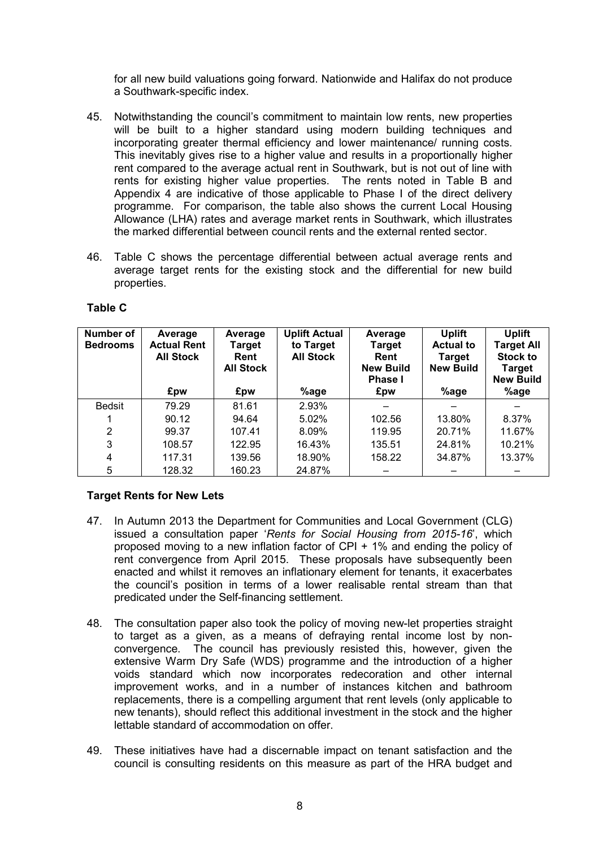for all new build valuations going forward. Nationwide and Halifax do not produce a Southwark-specific index.

- 45. Notwithstanding the council's commitment to maintain low rents, new properties will be built to a higher standard using modern building techniques and incorporating greater thermal efficiency and lower maintenance/ running costs. This inevitably gives rise to a higher value and results in a proportionally higher rent compared to the average actual rent in Southwark, but is not out of line with rents for existing higher value properties. The rents noted in Table B and Appendix 4 are indicative of those applicable to Phase I of the direct delivery programme. For comparison, the table also shows the current Local Housing Allowance (LHA) rates and average market rents in Southwark, which illustrates the marked differential between council rents and the external rented sector.
- 46. Table C shows the percentage differential between actual average rents and average target rents for the existing stock and the differential for new build properties.

| Number of<br><b>Bedrooms</b> | Average<br><b>Actual Rent</b><br><b>All Stock</b><br>£pw | Average<br><b>Target</b><br>Rent<br><b>All Stock</b><br>£pw | <b>Uplift Actual</b><br>to Target<br><b>All Stock</b><br>%age | Average<br>Target<br>Rent<br><b>New Build</b><br><b>Phase I</b><br>£pw | <b>Uplift</b><br><b>Actual to</b><br><b>Target</b><br><b>New Build</b><br>%age | <b>Uplift</b><br>Target All<br><b>Stock to</b><br><b>Target</b><br><b>New Build</b><br>%age |
|------------------------------|----------------------------------------------------------|-------------------------------------------------------------|---------------------------------------------------------------|------------------------------------------------------------------------|--------------------------------------------------------------------------------|---------------------------------------------------------------------------------------------|
|                              |                                                          |                                                             |                                                               |                                                                        |                                                                                |                                                                                             |
| <b>Bedsit</b>                | 79.29                                                    | 81.61                                                       | 2.93%                                                         |                                                                        |                                                                                |                                                                                             |
|                              | 90.12                                                    | 94.64                                                       | 5.02%                                                         | 102.56                                                                 | 13.80%                                                                         | 8.37%                                                                                       |
| 2                            | 99.37                                                    | 107.41                                                      | 8.09%                                                         | 119.95                                                                 | 20.71%                                                                         | 11.67%                                                                                      |
| 3                            | 108.57                                                   | 122.95                                                      | 16.43%                                                        | 135.51                                                                 | 24.81%                                                                         | 10.21%                                                                                      |
| 4                            | 117.31                                                   | 139.56                                                      | 18.90%                                                        | 158.22                                                                 | 34.87%                                                                         | 13.37%                                                                                      |
| 5                            | 128.32                                                   | 160.23                                                      | 24.87%                                                        |                                                                        |                                                                                |                                                                                             |

### **Table C**

# **Target Rents for New Lets**

- 47. In Autumn 2013 the Department for Communities and Local Government (CLG) issued a consultation paper '*Rents for Social Housing from 2015-16*', which proposed moving to a new inflation factor of CPI + 1% and ending the policy of rent convergence from April 2015. These proposals have subsequently been enacted and whilst it removes an inflationary element for tenants, it exacerbates the council's position in terms of a lower realisable rental stream than that predicated under the Self-financing settlement.
- 48. The consultation paper also took the policy of moving new-let properties straight to target as a given, as a means of defraying rental income lost by nonconvergence. The council has previously resisted this, however, given the extensive Warm Dry Safe (WDS) programme and the introduction of a higher voids standard which now incorporates redecoration and other internal improvement works, and in a number of instances kitchen and bathroom replacements, there is a compelling argument that rent levels (only applicable to new tenants), should reflect this additional investment in the stock and the higher lettable standard of accommodation on offer.
- 49. These initiatives have had a discernable impact on tenant satisfaction and the council is consulting residents on this measure as part of the HRA budget and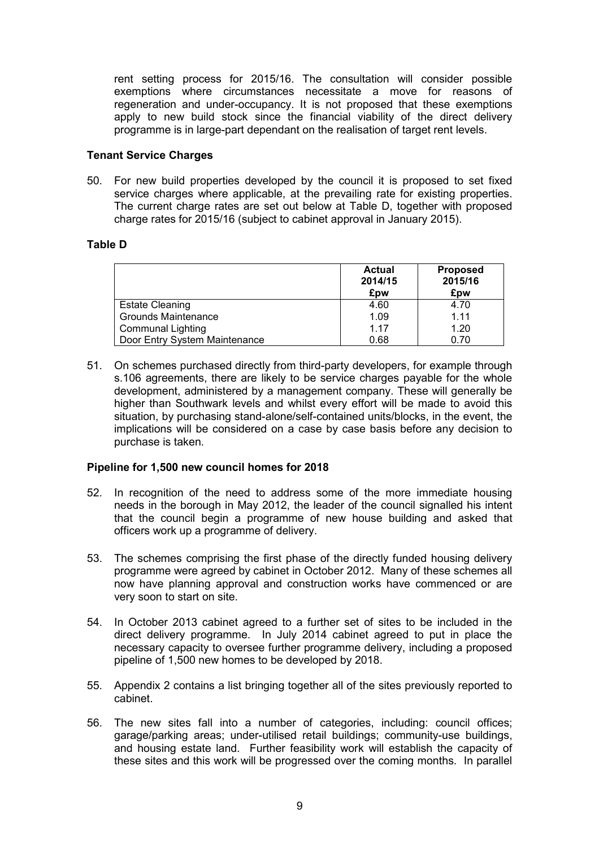rent setting process for 2015/16. The consultation will consider possible exemptions where circumstances necessitate a move for reasons of regeneration and under-occupancy. It is not proposed that these exemptions apply to new build stock since the financial viability of the direct delivery programme is in large-part dependant on the realisation of target rent levels.

#### **Tenant Service Charges**

50. For new build properties developed by the council it is proposed to set fixed service charges where applicable, at the prevailing rate for existing properties. The current charge rates are set out below at Table D, together with proposed charge rates for 2015/16 (subject to cabinet approval in January 2015).

## **Table D**

|                               | <b>Actual</b><br>2014/15<br>£pw | <b>Proposed</b><br>2015/16<br>£pw |
|-------------------------------|---------------------------------|-----------------------------------|
| <b>Estate Cleaning</b>        | 4.60                            | 4.70                              |
| <b>Grounds Maintenance</b>    | 1.09                            | 1.11                              |
| <b>Communal Lighting</b>      | 1.17                            | 1.20                              |
| Door Entry System Maintenance | 0.68                            | 0.70                              |

51. On schemes purchased directly from third-party developers, for example through s.106 agreements, there are likely to be service charges payable for the whole development, administered by a management company. These will generally be higher than Southwark levels and whilst every effort will be made to avoid this situation, by purchasing stand-alone/self-contained units/blocks, in the event, the implications will be considered on a case by case basis before any decision to purchase is taken.

### **Pipeline for 1,500 new council homes for 2018**

- 52. In recognition of the need to address some of the more immediate housing needs in the borough in May 2012, the leader of the council signalled his intent that the council begin a programme of new house building and asked that officers work up a programme of delivery.
- 53. The schemes comprising the first phase of the directly funded housing delivery programme were agreed by cabinet in October 2012. Many of these schemes all now have planning approval and construction works have commenced or are very soon to start on site.
- 54. In October 2013 cabinet agreed to a further set of sites to be included in the direct delivery programme. In July 2014 cabinet agreed to put in place the necessary capacity to oversee further programme delivery, including a proposed pipeline of 1,500 new homes to be developed by 2018.
- 55. Appendix 2 contains a list bringing together all of the sites previously reported to cabinet.
- 56. The new sites fall into a number of categories, including: council offices; garage/parking areas; under-utilised retail buildings; community-use buildings, and housing estate land. Further feasibility work will establish the capacity of these sites and this work will be progressed over the coming months. In parallel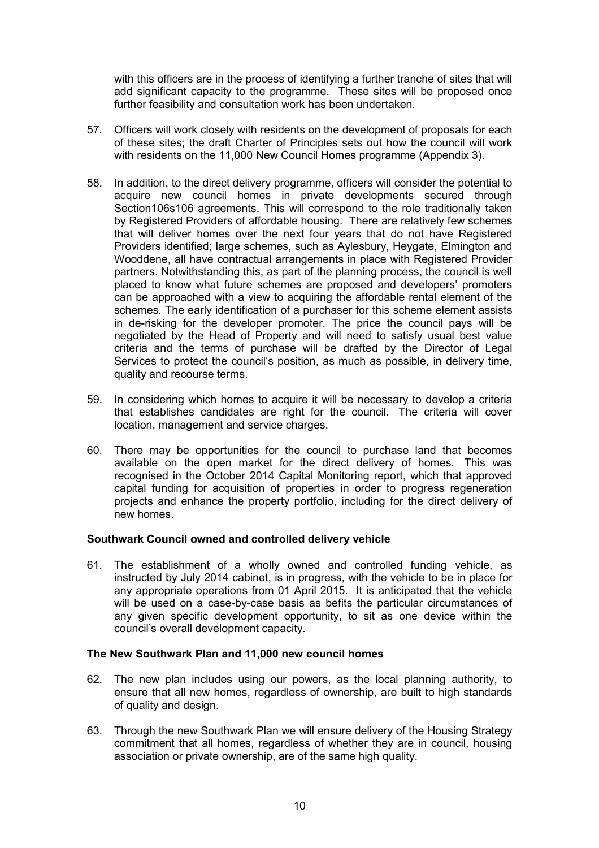with this officers are in the process of identifying a further tranche of sites that will add significant capacity to the programme. These sites will be proposed once further feasibility and consultation work has been undertaken.

- 57. Officers will work closely with residents on the development of proposals for each of these sites; the draft Charter of Principles sets out how the council will work with residents on the 11,000 New Council Homes programme (Appendix 3).
- 58. In addition, to the direct delivery programme, officers will consider the potential to acquire new council homes in private developments secured through Section106s106 agreements. This will correspond to the role traditionally taken by Registered Providers of affordable housing. There are relatively few schemes that will deliver homes over the next four years that do not have Registered Providers identified; large schemes, such as Aylesbury, Heygate, Elmington and Wooddene, all have contractual arrangements in place with Registered Provider partners. Notwithstanding this, as part of the planning process, the council is well placed to know what future schemes are proposed and developers' promoters can be approached with a view to acquiring the affordable rental element of the schemes. The early identification of a purchaser for this scheme element assists in de-risking for the developer promoter. The price the council pays will be negotiated by the Head of Property and will need to satisfy usual best value criteria and the terms of purchase will be drafted by the Director of Legal Services to protect the council's position, as much as possible, in delivery time, quality and recourse terms.
- 59. In considering which homes to acquire it will be necessary to develop a criteria that establishes candidates are right for the council. The criteria will cover location, management and service charges.
- 60. There may be opportunities for the council to purchase land that becomes available on the open market for the direct delivery of homes. This was recognised in the October 2014 Capital Monitoring report, which that approved capital funding for acquisition of properties in order to progress regeneration projects and enhance the property portfolio, including for the direct delivery of new homes.

### **Southwark Council owned and controlled delivery vehicle**

61. The establishment of a wholly owned and controlled funding vehicle, as instructed by July 2014 cabinet, is in progress, with the vehicle to be in place for any appropriate operations from 01 April 2015. It is anticipated that the vehicle will be used on a case-by-case basis as befits the particular circumstances of any given specific development opportunity, to sit as one device within the council's overall development capacity.

#### **The New Southwark Plan and 11,000 new council homes**

- 62. The new plan includes using our powers, as the local planning authority, to ensure that all new homes, regardless of ownership, are built to high standards of quality and design.
- 63. Through the new Southwark Plan we will ensure delivery of the Housing Strategy commitment that all homes, regardless of whether they are in council, housing association or private ownership, are of the same high quality.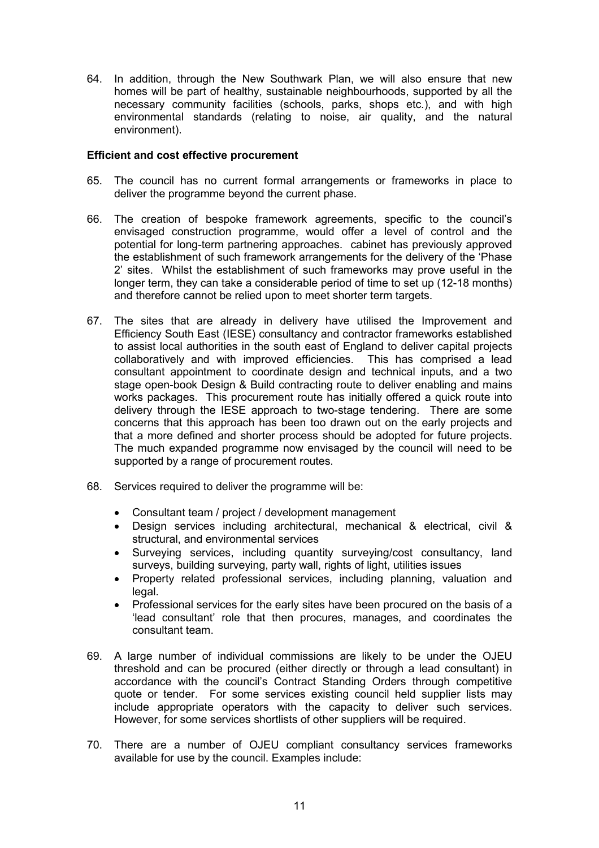64. In addition, through the New Southwark Plan, we will also ensure that new homes will be part of healthy, sustainable neighbourhoods, supported by all the necessary community facilities (schools, parks, shops etc.), and with high environmental standards (relating to noise, air quality, and the natural environment).

### **Efficient and cost effective procurement**

- 65. The council has no current formal arrangements or frameworks in place to deliver the programme beyond the current phase.
- 66. The creation of bespoke framework agreements, specific to the council's envisaged construction programme, would offer a level of control and the potential for long-term partnering approaches. cabinet has previously approved the establishment of such framework arrangements for the delivery of the 'Phase 2' sites. Whilst the establishment of such frameworks may prove useful in the longer term, they can take a considerable period of time to set up (12-18 months) and therefore cannot be relied upon to meet shorter term targets.
- 67. The sites that are already in delivery have utilised the Improvement and Efficiency South East (IESE) consultancy and contractor frameworks established to assist local authorities in the south east of England to deliver capital projects collaboratively and with improved efficiencies. This has comprised a lead consultant appointment to coordinate design and technical inputs, and a two stage open-book Design & Build contracting route to deliver enabling and mains works packages. This procurement route has initially offered a quick route into delivery through the IESE approach to two-stage tendering. There are some concerns that this approach has been too drawn out on the early projects and that a more defined and shorter process should be adopted for future projects. The much expanded programme now envisaged by the council will need to be supported by a range of procurement routes.
- 68. Services required to deliver the programme will be:
	- Consultant team / project / development management
	- Design services including architectural, mechanical & electrical, civil & structural, and environmental services
	- Surveying services, including quantity surveying/cost consultancy, land surveys, building surveying, party wall, rights of light, utilities issues
	- Property related professional services, including planning, valuation and legal.
	- Professional services for the early sites have been procured on the basis of a 'lead consultant' role that then procures, manages, and coordinates the consultant team.
- 69. A large number of individual commissions are likely to be under the OJEU threshold and can be procured (either directly or through a lead consultant) in accordance with the council's Contract Standing Orders through competitive quote or tender. For some services existing council held supplier lists may include appropriate operators with the capacity to deliver such services. However, for some services shortlists of other suppliers will be required.
- 70. There are a number of OJEU compliant consultancy services frameworks available for use by the council. Examples include: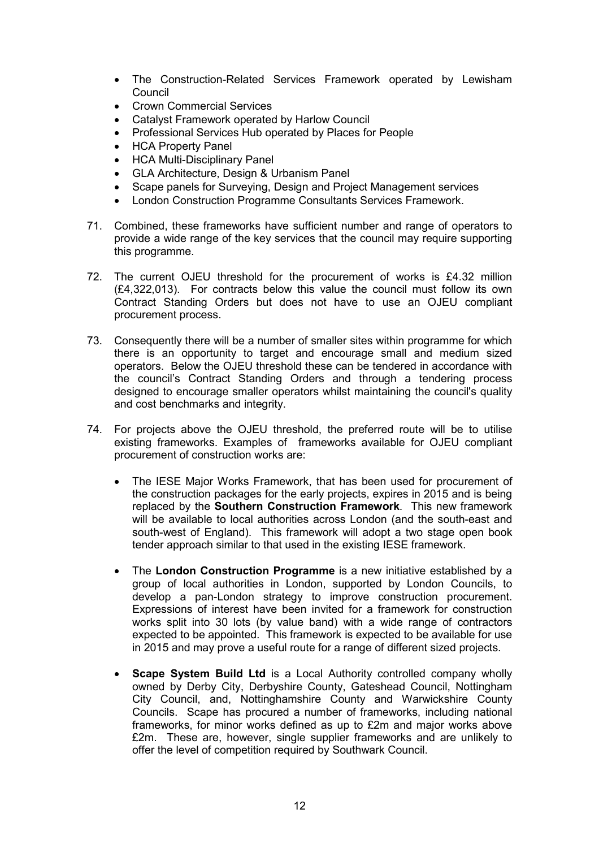- The Construction-Related Services Framework operated by Lewisham **Council**
- Crown Commercial Services
- Catalyst Framework operated by Harlow Council
- Professional Services Hub operated by Places for People
- HCA Property Panel
- HCA Multi-Disciplinary Panel
- GLA Architecture, Design & Urbanism Panel
- Scape panels for Surveying, Design and Project Management services
- London Construction Programme Consultants Services Framework.
- 71. Combined, these frameworks have sufficient number and range of operators to provide a wide range of the key services that the council may require supporting this programme.
- 72. The current OJEU threshold for the procurement of works is £4.32 million (£4,322,013). For contracts below this value the council must follow its own Contract Standing Orders but does not have to use an OJEU compliant procurement process.
- 73. Consequently there will be a number of smaller sites within programme for which there is an opportunity to target and encourage small and medium sized operators. Below the OJEU threshold these can be tendered in accordance with the council's Contract Standing Orders and through a tendering process designed to encourage smaller operators whilst maintaining the council's quality and cost benchmarks and integrity.
- 74. For projects above the OJEU threshold, the preferred route will be to utilise existing frameworks. Examples of frameworks available for OJEU compliant procurement of construction works are:
	- The IESE Major Works Framework, that has been used for procurement of the construction packages for the early projects, expires in 2015 and is being replaced by the **Southern Construction Framework**. This new framework will be available to local authorities across London (and the south-east and south-west of England). This framework will adopt a two stage open book tender approach similar to that used in the existing IESE framework.
	- The **London Construction Programme** is a new initiative established by a group of local authorities in London, supported by London Councils, to develop a pan-London strategy to improve construction procurement. Expressions of interest have been invited for a framework for construction works split into 30 lots (by value band) with a wide range of contractors expected to be appointed. This framework is expected to be available for use in 2015 and may prove a useful route for a range of different sized projects.
	- **Scape System Build Ltd** is a Local Authority controlled company wholly owned by Derby City, Derbyshire County, Gateshead Council, Nottingham City Council, and, Nottinghamshire County and Warwickshire County Councils. Scape has procured a number of frameworks, including national frameworks, for minor works defined as up to £2m and major works above £2m. These are, however, single supplier frameworks and are unlikely to offer the level of competition required by Southwark Council.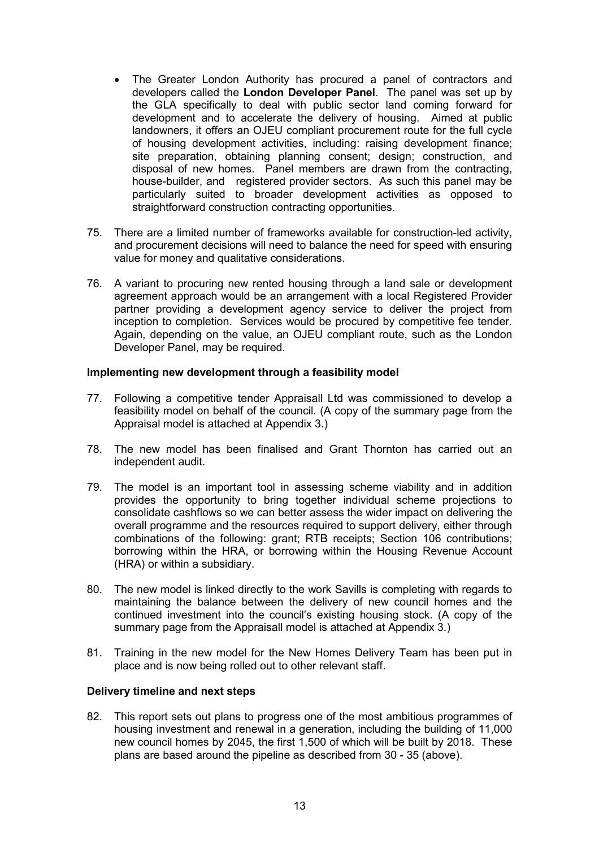- The Greater London Authority has procured a panel of contractors and developers called the **London Developer Panel**. The panel was set up by the GLA specifically to deal with public sector land coming forward for development and to accelerate the delivery of housing. Aimed at public landowners, it offers an OJEU compliant procurement route for the full cycle of housing development activities, including: raising development finance; site preparation, obtaining planning consent; design; construction, and disposal of new homes. Panel members are drawn from the contracting, house-builder, and registered provider sectors. As such this panel may be particularly suited to broader development activities as opposed to straightforward construction contracting opportunities.
- 75. There are a limited number of frameworks available for construction-led activity, and procurement decisions will need to balance the need for speed with ensuring value for money and qualitative considerations.
- 76. A variant to procuring new rented housing through a land sale or development agreement approach would be an arrangement with a local Registered Provider partner providing a development agency service to deliver the project from inception to completion. Services would be procured by competitive fee tender. Again, depending on the value, an OJEU compliant route, such as the London Developer Panel, may be required.

### **Implementing new development through a feasibility model**

- 77. Following a competitive tender Appraisall Ltd was commissioned to develop a feasibility model on behalf of the council. (A copy of the summary page from the Appraisal model is attached at Appendix 3.)
- 78. The new model has been finalised and Grant Thornton has carried out an independent audit.
- 79. The model is an important tool in assessing scheme viability and in addition provides the opportunity to bring together individual scheme projections to consolidate cashflows so we can better assess the wider impact on delivering the overall programme and the resources required to support delivery, either through combinations of the following: grant; RTB receipts; Section 106 contributions; borrowing within the HRA, or borrowing within the Housing Revenue Account (HRA) or within a subsidiary.
- 80. The new model is linked directly to the work Savills is completing with regards to maintaining the balance between the delivery of new council homes and the continued investment into the council's existing housing stock. (A copy of the summary page from the Appraisall model is attached at Appendix 3.)
- 81. Training in the new model for the New Homes Delivery Team has been put in place and is now being rolled out to other relevant staff.

#### **Delivery timeline and next steps**

82. This report sets out plans to progress one of the most ambitious programmes of housing investment and renewal in a generation, including the building of 11,000 new council homes by 2045, the first 1,500 of which will be built by 2018. These plans are based around the pipeline as described from 30 - 35 (above).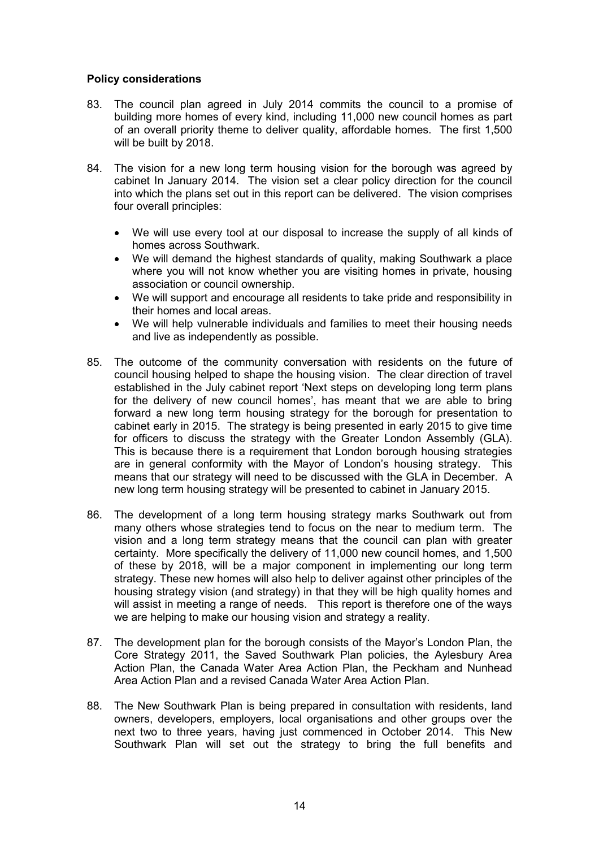### **Policy considerations**

- 83. The council plan agreed in July 2014 commits the council to a promise of building more homes of every kind, including 11,000 new council homes as part of an overall priority theme to deliver quality, affordable homes. The first 1,500 will be built by 2018.
- 84. The vision for a new long term housing vision for the borough was agreed by cabinet In January 2014. The vision set a clear policy direction for the council into which the plans set out in this report can be delivered. The vision comprises four overall principles:
	- We will use every tool at our disposal to increase the supply of all kinds of homes across Southwark.
	- We will demand the highest standards of quality, making Southwark a place where you will not know whether you are visiting homes in private, housing association or council ownership.
	- We will support and encourage all residents to take pride and responsibility in their homes and local areas.
	- We will help vulnerable individuals and families to meet their housing needs and live as independently as possible.
- 85. The outcome of the community conversation with residents on the future of council housing helped to shape the housing vision. The clear direction of travel established in the July cabinet report 'Next steps on developing long term plans for the delivery of new council homes', has meant that we are able to bring forward a new long term housing strategy for the borough for presentation to cabinet early in 2015. The strategy is being presented in early 2015 to give time for officers to discuss the strategy with the Greater London Assembly (GLA). This is because there is a requirement that London borough housing strategies are in general conformity with the Mayor of London's housing strategy. This means that our strategy will need to be discussed with the GLA in December. A new long term housing strategy will be presented to cabinet in January 2015.
- 86. The development of a long term housing strategy marks Southwark out from many others whose strategies tend to focus on the near to medium term. The vision and a long term strategy means that the council can plan with greater certainty. More specifically the delivery of 11,000 new council homes, and 1,500 of these by 2018, will be a major component in implementing our long term strategy. These new homes will also help to deliver against other principles of the housing strategy vision (and strategy) in that they will be high quality homes and will assist in meeting a range of needs. This report is therefore one of the ways we are helping to make our housing vision and strategy a reality.
- 87. The development plan for the borough consists of the Mayor's London Plan, the Core Strategy 2011, the Saved Southwark Plan policies, the Aylesbury Area Action Plan, the Canada Water Area Action Plan, the Peckham and Nunhead Area Action Plan and a revised Canada Water Area Action Plan.
- 88. The New Southwark Plan is being prepared in consultation with residents, land owners, developers, employers, local organisations and other groups over the next two to three years, having just commenced in October 2014. This New Southwark Plan will set out the strategy to bring the full benefits and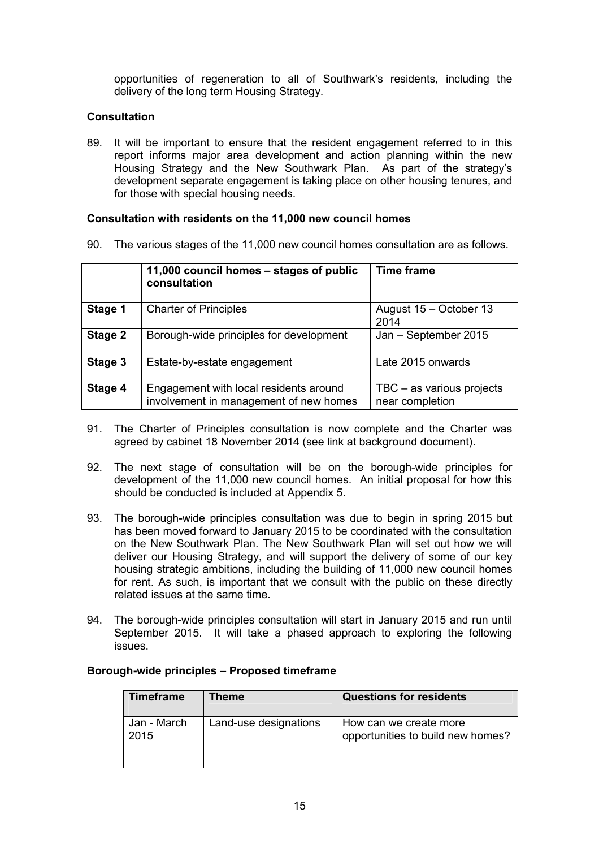opportunities of regeneration to all of Southwark's residents, including the delivery of the long term Housing Strategy.

### **Consultation**

89. It will be important to ensure that the resident engagement referred to in this report informs major area development and action planning within the new Housing Strategy and the New Southwark Plan. As part of the strategy's development separate engagement is taking place on other housing tenures, and for those with special housing needs.

### **Consultation with residents on the 11,000 new council homes**

90. The various stages of the 11,000 new council homes consultation are as follows.

|         | 11,000 council homes - stages of public<br>consultation                          | <b>Time frame</b>                            |
|---------|----------------------------------------------------------------------------------|----------------------------------------------|
| Stage 1 | <b>Charter of Principles</b>                                                     | August 15 - October 13<br>2014               |
| Stage 2 | Borough-wide principles for development                                          | Jan - September 2015                         |
| Stage 3 | Estate-by-estate engagement                                                      | Late 2015 onwards                            |
| Stage 4 | Engagement with local residents around<br>involvement in management of new homes | TBC - as various projects<br>near completion |

- 91. The Charter of Principles consultation is now complete and the Charter was agreed by cabinet 18 November 2014 (see link at background document).
- 92. The next stage of consultation will be on the borough-wide principles for development of the 11,000 new council homes. An initial proposal for how this should be conducted is included at Appendix 5.
- 93. The borough-wide principles consultation was due to begin in spring 2015 but has been moved forward to January 2015 to be coordinated with the consultation on the New Southwark Plan. The New Southwark Plan will set out how we will deliver our Housing Strategy, and will support the delivery of some of our key housing strategic ambitions, including the building of 11,000 new council homes for rent. As such, is important that we consult with the public on these directly related issues at the same time.
- 94. The borough-wide principles consultation will start in January 2015 and run until September 2015. It will take a phased approach to exploring the following issues.

| Timeframe           | Theme                 | <b>Questions for residents</b>                              |
|---------------------|-----------------------|-------------------------------------------------------------|
| Jan - March<br>2015 | Land-use designations | How can we create more<br>opportunities to build new homes? |

#### **Borough-wide principles – Proposed timeframe**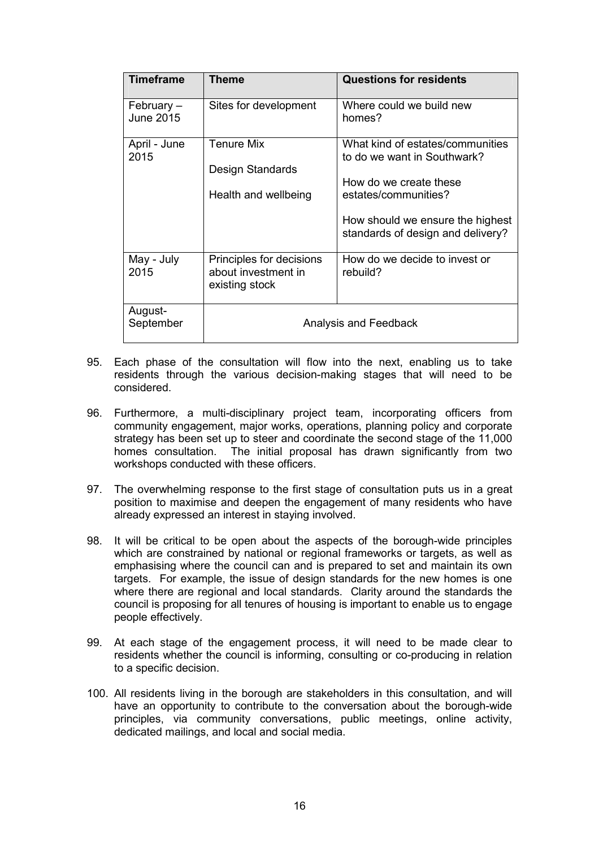| <b>Timeframe</b>        | Theme                                                             | <b>Questions for residents</b>                                                                                                                                                             |  |
|-------------------------|-------------------------------------------------------------------|--------------------------------------------------------------------------------------------------------------------------------------------------------------------------------------------|--|
| February –<br>June 2015 | Sites for development                                             | Where could we build new<br>homes?                                                                                                                                                         |  |
| April - June<br>2015    | <b>Tenure Mix</b><br>Design Standards<br>Health and wellbeing     | What kind of estates/communities<br>to do we want in Southwark?<br>How do we create these<br>estates/communities?<br>How should we ensure the highest<br>standards of design and delivery? |  |
| May - July<br>2015      | Principles for decisions<br>about investment in<br>existing stock | How do we decide to invest or<br>rebuild?                                                                                                                                                  |  |
| August-<br>September    | Analysis and Feedback                                             |                                                                                                                                                                                            |  |

- 95. Each phase of the consultation will flow into the next, enabling us to take residents through the various decision-making stages that will need to be considered.
- 96. Furthermore, a multi-disciplinary project team, incorporating officers from community engagement, major works, operations, planning policy and corporate strategy has been set up to steer and coordinate the second stage of the 11,000 homes consultation. The initial proposal has drawn significantly from two workshops conducted with these officers.
- 97. The overwhelming response to the first stage of consultation puts us in a great position to maximise and deepen the engagement of many residents who have already expressed an interest in staying involved.
- 98. It will be critical to be open about the aspects of the borough-wide principles which are constrained by national or regional frameworks or targets, as well as emphasising where the council can and is prepared to set and maintain its own targets. For example, the issue of design standards for the new homes is one where there are regional and local standards. Clarity around the standards the council is proposing for all tenures of housing is important to enable us to engage people effectively.
- 99. At each stage of the engagement process, it will need to be made clear to residents whether the council is informing, consulting or co-producing in relation to a specific decision.
- 100. All residents living in the borough are stakeholders in this consultation, and will have an opportunity to contribute to the conversation about the borough-wide principles, via community conversations, public meetings, online activity, dedicated mailings, and local and social media.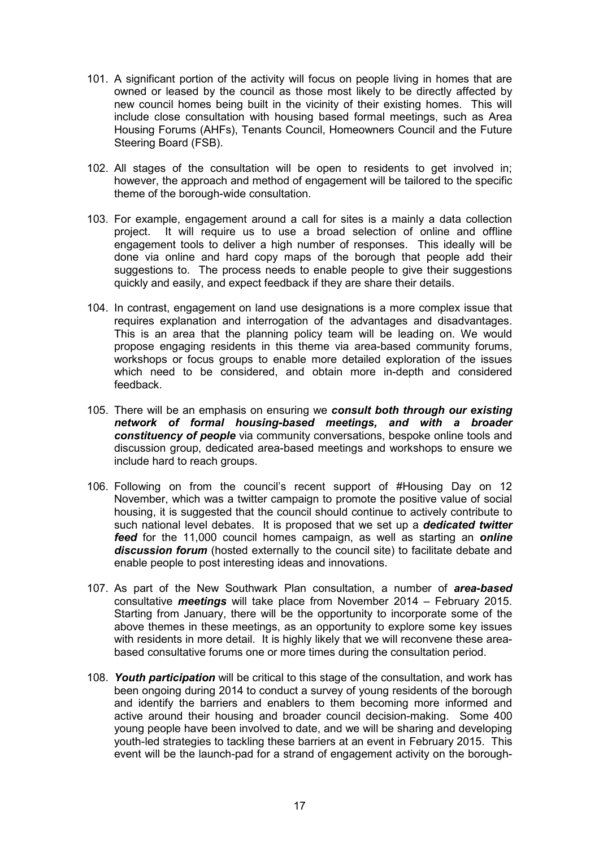- 101. A significant portion of the activity will focus on people living in homes that are owned or leased by the council as those most likely to be directly affected by new council homes being built in the vicinity of their existing homes. This will include close consultation with housing based formal meetings, such as Area Housing Forums (AHFs), Tenants Council, Homeowners Council and the Future Steering Board (FSB).
- 102. All stages of the consultation will be open to residents to get involved in; however, the approach and method of engagement will be tailored to the specific theme of the borough-wide consultation.
- 103. For example, engagement around a call for sites is a mainly a data collection project. It will require us to use a broad selection of online and offline engagement tools to deliver a high number of responses. This ideally will be done via online and hard copy maps of the borough that people add their suggestions to. The process needs to enable people to give their suggestions quickly and easily, and expect feedback if they are share their details.
- 104. In contrast, engagement on land use designations is a more complex issue that requires explanation and interrogation of the advantages and disadvantages. This is an area that the planning policy team will be leading on. We would propose engaging residents in this theme via area-based community forums, workshops or focus groups to enable more detailed exploration of the issues which need to be considered, and obtain more in-depth and considered feedback.
- 105. There will be an emphasis on ensuring we *consult both through our existing network of formal housing-based meetings, and with a broader constituency of people* via community conversations, bespoke online tools and discussion group, dedicated area-based meetings and workshops to ensure we include hard to reach groups.
- 106. Following on from the council's recent support of #Housing Day on 12 November, which was a twitter campaign to promote the positive value of social housing, it is suggested that the council should continue to actively contribute to such national level debates. It is proposed that we set up a *dedicated twitter feed* for the 11,000 council homes campaign, as well as starting an *online discussion forum* (hosted externally to the council site) to facilitate debate and enable people to post interesting ideas and innovations.
- 107. As part of the New Southwark Plan consultation, a number of *area-based*  consultative *meetings* will take place from November 2014 – February 2015. Starting from January, there will be the opportunity to incorporate some of the above themes in these meetings, as an opportunity to explore some key issues with residents in more detail. It is highly likely that we will reconvene these areabased consultative forums one or more times during the consultation period.
- 108. *Youth participation* will be critical to this stage of the consultation, and work has been ongoing during 2014 to conduct a survey of young residents of the borough and identify the barriers and enablers to them becoming more informed and active around their housing and broader council decision-making. Some 400 young people have been involved to date, and we will be sharing and developing youth-led strategies to tackling these barriers at an event in February 2015. This event will be the launch-pad for a strand of engagement activity on the borough-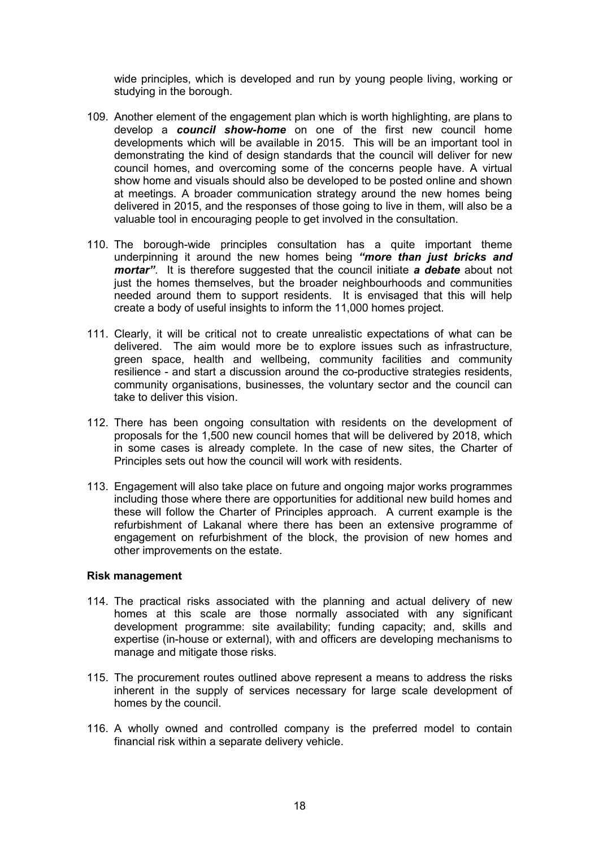wide principles, which is developed and run by young people living, working or studying in the borough.

- 109. Another element of the engagement plan which is worth highlighting, are plans to develop a *council show-home* on one of the first new council home developments which will be available in 2015. This will be an important tool in demonstrating the kind of design standards that the council will deliver for new council homes, and overcoming some of the concerns people have. A virtual show home and visuals should also be developed to be posted online and shown at meetings. A broader communication strategy around the new homes being delivered in 2015, and the responses of those going to live in them, will also be a valuable tool in encouraging people to get involved in the consultation.
- 110. The borough-wide principles consultation has a quite important theme underpinning it around the new homes being *"more than just bricks and mortar"*. It is therefore suggested that the council initiate *a debate* about not just the homes themselves, but the broader neighbourhoods and communities needed around them to support residents. It is envisaged that this will help create a body of useful insights to inform the 11,000 homes project.
- 111. Clearly, it will be critical not to create unrealistic expectations of what can be delivered. The aim would more be to explore issues such as infrastructure, green space, health and wellbeing, community facilities and community resilience - and start a discussion around the co-productive strategies residents, community organisations, businesses, the voluntary sector and the council can take to deliver this vision.
- 112. There has been ongoing consultation with residents on the development of proposals for the 1,500 new council homes that will be delivered by 2018, which in some cases is already complete. In the case of new sites, the Charter of Principles sets out how the council will work with residents.
- 113. Engagement will also take place on future and ongoing major works programmes including those where there are opportunities for additional new build homes and these will follow the Charter of Principles approach. A current example is the refurbishment of Lakanal where there has been an extensive programme of engagement on refurbishment of the block, the provision of new homes and other improvements on the estate.

#### **Risk management**

- 114. The practical risks associated with the planning and actual delivery of new homes at this scale are those normally associated with any significant development programme: site availability; funding capacity; and, skills and expertise (in-house or external), with and officers are developing mechanisms to manage and mitigate those risks.
- 115. The procurement routes outlined above represent a means to address the risks inherent in the supply of services necessary for large scale development of homes by the council.
- 116. A wholly owned and controlled company is the preferred model to contain financial risk within a separate delivery vehicle.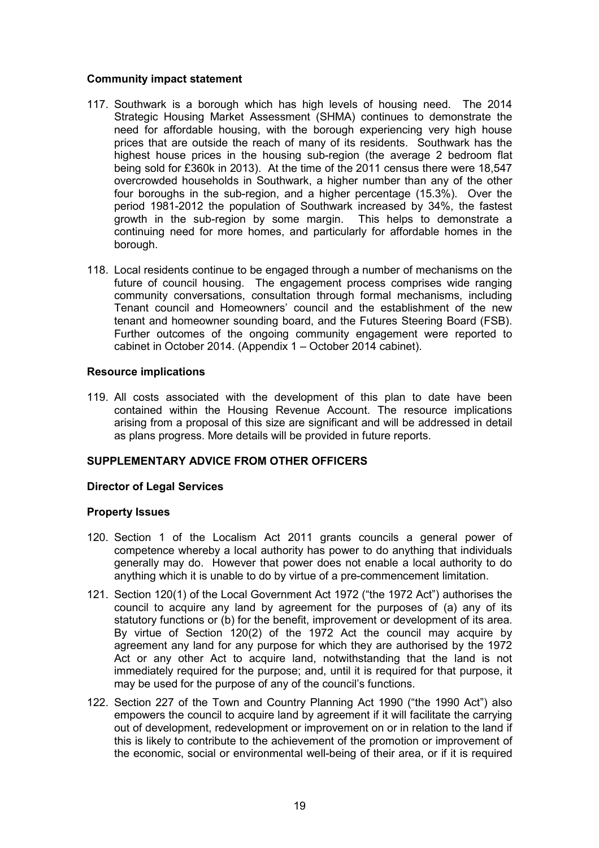### **Community impact statement**

- 117. Southwark is a borough which has high levels of housing need. The 2014 Strategic Housing Market Assessment (SHMA) continues to demonstrate the need for affordable housing, with the borough experiencing very high house prices that are outside the reach of many of its residents. Southwark has the highest house prices in the housing sub-region (the average 2 bedroom flat being sold for £360k in 2013). At the time of the 2011 census there were 18,547 overcrowded households in Southwark, a higher number than any of the other four boroughs in the sub-region, and a higher percentage (15.3%). Over the period 1981-2012 the population of Southwark increased by 34%, the fastest growth in the sub-region by some margin. This helps to demonstrate a continuing need for more homes, and particularly for affordable homes in the borough.
- 118. Local residents continue to be engaged through a number of mechanisms on the future of council housing. The engagement process comprises wide ranging community conversations, consultation through formal mechanisms, including Tenant council and Homeowners' council and the establishment of the new tenant and homeowner sounding board, and the Futures Steering Board (FSB). Further outcomes of the ongoing community engagement were reported to cabinet in October 2014. (Appendix 1 – October 2014 cabinet).

### **Resource implications**

119. All costs associated with the development of this plan to date have been contained within the Housing Revenue Account. The resource implications arising from a proposal of this size are significant and will be addressed in detail as plans progress. More details will be provided in future reports.

# **SUPPLEMENTARY ADVICE FROM OTHER OFFICERS**

### **Director of Legal Services**

### **Property Issues**

- 120. Section 1 of the Localism Act 2011 grants councils a general power of competence whereby a local authority has power to do anything that individuals generally may do. However that power does not enable a local authority to do anything which it is unable to do by virtue of a pre-commencement limitation.
- 121. Section 120(1) of the Local Government Act 1972 ("the 1972 Act") authorises the council to acquire any land by agreement for the purposes of (a) any of its statutory functions or (b) for the benefit, improvement or development of its area. By virtue of Section 120(2) of the 1972 Act the council may acquire by agreement any land for any purpose for which they are authorised by the 1972 Act or any other Act to acquire land, notwithstanding that the land is not immediately required for the purpose; and, until it is required for that purpose, it may be used for the purpose of any of the council's functions.
- 122. Section 227 of the Town and Country Planning Act 1990 ("the 1990 Act") also empowers the council to acquire land by agreement if it will facilitate the carrying out of development, redevelopment or improvement on or in relation to the land if this is likely to contribute to the achievement of the promotion or improvement of the economic, social or environmental well-being of their area, or if it is required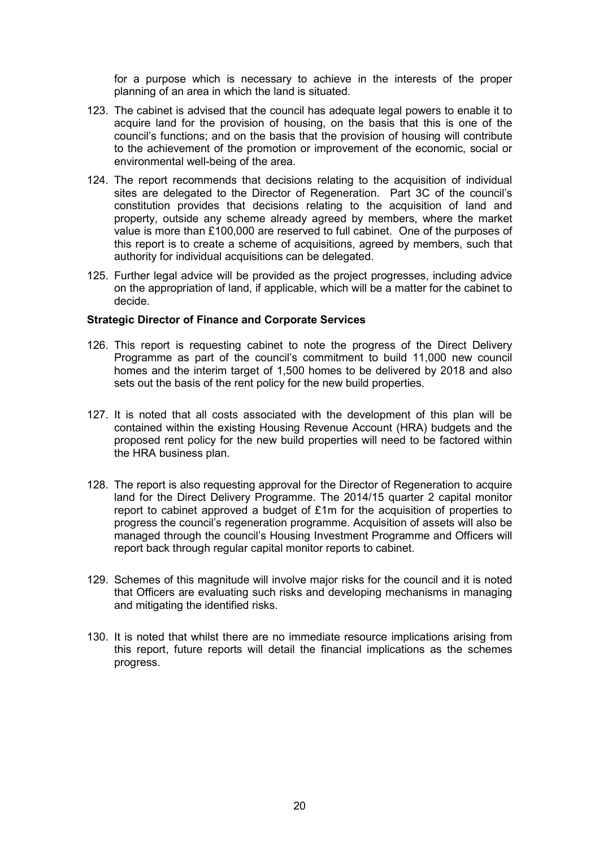for a purpose which is necessary to achieve in the interests of the proper planning of an area in which the land is situated.

- 123. The cabinet is advised that the council has adequate legal powers to enable it to acquire land for the provision of housing, on the basis that this is one of the council's functions; and on the basis that the provision of housing will contribute to the achievement of the promotion or improvement of the economic, social or environmental well-being of the area.
- 124. The report recommends that decisions relating to the acquisition of individual sites are delegated to the Director of Regeneration. Part 3C of the council's constitution provides that decisions relating to the acquisition of land and property, outside any scheme already agreed by members, where the market value is more than £100,000 are reserved to full cabinet. One of the purposes of this report is to create a scheme of acquisitions, agreed by members, such that authority for individual acquisitions can be delegated.
- 125. Further legal advice will be provided as the project progresses, including advice on the appropriation of land, if applicable, which will be a matter for the cabinet to decide.

#### **Strategic Director of Finance and Corporate Services**

- 126. This report is requesting cabinet to note the progress of the Direct Delivery Programme as part of the council's commitment to build 11,000 new council homes and the interim target of 1,500 homes to be delivered by 2018 and also sets out the basis of the rent policy for the new build properties.
- 127. It is noted that all costs associated with the development of this plan will be contained within the existing Housing Revenue Account (HRA) budgets and the proposed rent policy for the new build properties will need to be factored within the HRA business plan.
- 128. The report is also requesting approval for the Director of Regeneration to acquire land for the Direct Delivery Programme. The 2014/15 quarter 2 capital monitor report to cabinet approved a budget of £1m for the acquisition of properties to progress the council's regeneration programme. Acquisition of assets will also be managed through the council's Housing Investment Programme and Officers will report back through regular capital monitor reports to cabinet.
- 129. Schemes of this magnitude will involve major risks for the council and it is noted that Officers are evaluating such risks and developing mechanisms in managing and mitigating the identified risks.
- 130. It is noted that whilst there are no immediate resource implications arising from this report, future reports will detail the financial implications as the schemes progress.